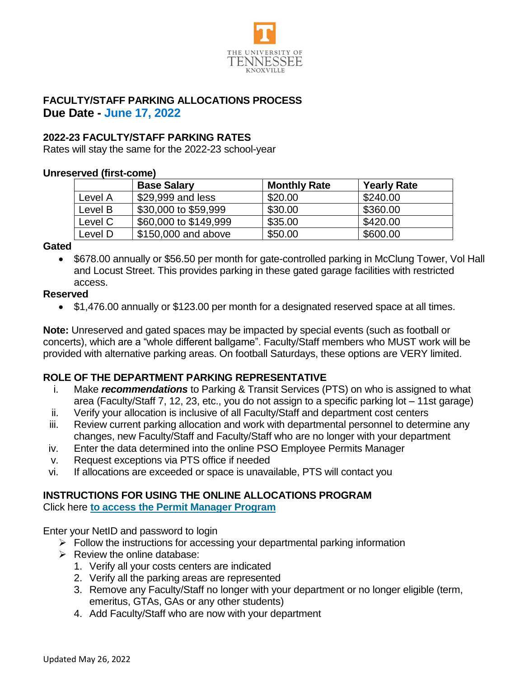

## **FACULTY/STAFF PARKING ALLOCATIONS PROCESS Due Date - June 17, 2022**

## **2022-23 FACULTY/STAFF PARKING RATES**

Rates will stay the same for the 2022-23 school-year

#### **Unreserved (first-come)**

|         | <b>Base Salary</b>    | <b>Monthly Rate</b> | <b>Yearly Rate</b> |
|---------|-----------------------|---------------------|--------------------|
| Level A | \$29,999 and less     | \$20.00             | \$240.00           |
| Level B | \$30,000 to \$59,999  | \$30.00             | \$360.00           |
| Level C | \$60,000 to \$149,999 | \$35.00             | \$420.00           |
| Level D | \$150,000 and above   | \$50.00             | \$600.00           |

#### **Gated**

• \$678.00 annually or \$56.50 per month for gate-controlled parking in McClung Tower, Vol Hall and Locust Street. This provides parking in these gated garage facilities with restricted access.

#### **Reserved**

• \$1,476.00 annually or \$123.00 per month for a designated reserved space at all times.

**Note:** Unreserved and gated spaces may be impacted by special events (such as football or concerts), which are a "whole different ballgame". Faculty/Staff members who MUST work will be provided with alternative parking areas. On football Saturdays, these options are VERY limited.

## **ROLE OF THE DEPARTMENT PARKING REPRESENTATIVE**

- i. Make *recommendations* to Parking & Transit Services (PTS) on who is assigned to what area (Faculty/Staff 7, 12, 23, etc., you do not assign to a specific parking lot – 11st garage)
- ii. Verify your allocation is inclusive of all Faculty/Staff and department cost centers
- iii. Review current parking allocation and work with departmental personnel to determine any changes, new Faculty/Staff and Faculty/Staff who are no longer with your department
- iv. Enter the data determined into the online PSO Employee Permits Manager
- v. Request exceptions via PTS office if needed
- vi. If allocations are exceeded or space is unavailable, PTS will contact you

# **INSTRUCTIONS FOR USING THE ONLINE ALLOCATIONS PROGRAM**

Click here **[to access the Permit Manager Program](https://webapps.utk.edu/Parking/EmployeePermitsManager/Entrance.aspx)**

Enter your NetID and password to login

- $\triangleright$  Follow the instructions for accessing your departmental parking information
- $\triangleright$  Review the online database:
	- 1. Verify all your costs centers are indicated
	- 2. Verify all the parking areas are represented
	- 3. Remove any Faculty/Staff no longer with your department or no longer eligible (term, emeritus, GTAs, GAs or any other students)
	- 4. Add Faculty/Staff who are now with your department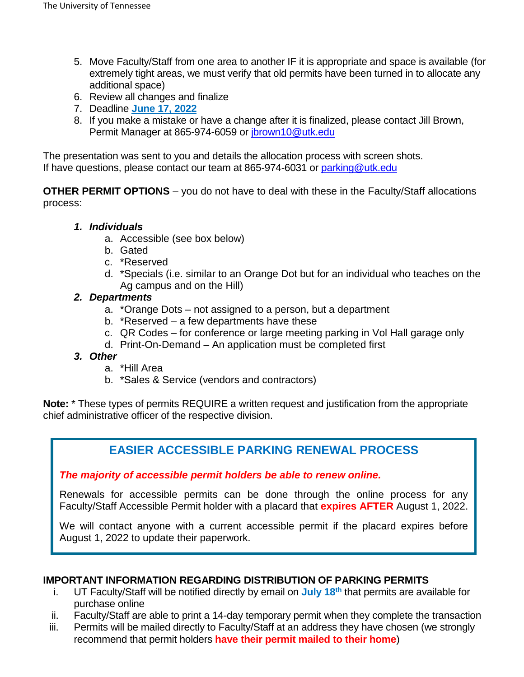- 5. Move Faculty/Staff from one area to another IF it is appropriate and space is available (for extremely tight areas, we must verify that old permits have been turned in to allocate any additional space)
- 6. Review all changes and finalize
- 7. Deadline **June 17, 2022**
- 8. If you make a mistake or have a change after it is finalized, please contact Jill Brown, Permit Manager at 865-974-6059 or [jbrown10@utk.edu](mailto:jbrown10@utk.edu)

The presentation was sent to you and details the allocation process with screen shots. If have questions, please contact our team at 865-974-6031 or [parking@utk.edu](mailto:parking@utk.edu)

**OTHER PERMIT OPTIONS** – you do not have to deal with these in the Faculty/Staff allocations process:

#### *1. Individuals*

- a. Accessible (see box below)
- b. Gated
- c. \*Reserved
- d. \*Specials (i.e. similar to an Orange Dot but for an individual who teaches on the Ag campus and on the Hill)

#### *2. Departments*

- a. \*Orange Dots not assigned to a person, but a department
- b. \*Reserved a few departments have these
- c. QR Codes for conference or large meeting parking in Vol Hall garage only
- d. Print-On-Demand An application must be completed first

#### *3. Other*

- a. \*Hill Area
- b. \*Sales & Service (vendors and contractors)

**Note:** \* These types of permits REQUIRE a written request and justification from the appropriate chief administrative officer of the respective division.

## **EASIER ACCESSIBLE PARKING RENEWAL PROCESS**

*The majority of accessible permit holders be able to renew online.* 

Renewals for accessible permits can be done through the online process for any Faculty/Staff Accessible Permit holder with a placard that **expires AFTER** August 1, 2022.

We will contact anyone with a current accessible permit if the placard expires before August 1, 2022 to update their paperwork.

#### **IMPORTANT INFORMATION REGARDING DISTRIBUTION OF PARKING PERMITS**

- i. UT Faculty/Staff will be notified directly by email on **July 18 th** that permits are available for purchase online
- ii. Faculty/Staff are able to print a 14-day temporary permit when they complete the transaction
- iii. Permits will be mailed directly to Faculty/Staff at an address they have chosen (we strongly recommend that permit holders **have their permit mailed to their home**)